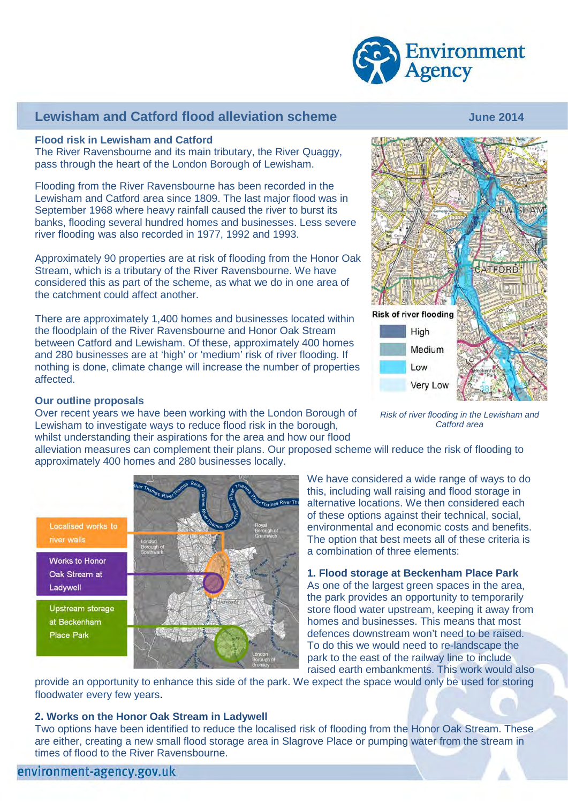

## **Lewisham and Catford flood alleviation scheme** Theorem 100 June 2014

#### **Flood risk in Lewisham and Catford**

The River Ravensbourne and its main tributary, the River Quaggy, pass through the heart of the London Borough of Lewisham.

Flooding from the River Ravensbourne has been recorded in the Lewisham and Catford area since 1809. The last major flood was in September 1968 where heavy rainfall caused the river to burst its banks, flooding several hundred homes and businesses. Less severe river flooding was also recorded in 1977, 1992 and 1993.

Approximately 90 properties are at risk of flooding from the Honor Oak Stream, which is a tributary of the River Ravensbourne. We have considered this as part of the scheme, as what we do in one area of the catchment could affect another.

There are approximately 1,400 homes and businesses located within the floodplain of the River Ravensbourne and Honor Oak Stream between Catford and Lewisham. Of these, approximately 400 homes and 280 businesses are at 'high' or 'medium' risk of river flooding. If nothing is done, climate change will increase the number of properties affected.

# CATFORD **Risk of river flooding** High Medium Low **Very Low**

*Catford area*

#### **Our outline proposals**

Over recent years we have been working with the London Borough of  *Risk of river flooding in the Lewisham and*  Lewisham to investigate ways to reduce flood risk in the borough, whilst understanding their aspirations for the area and how our flood

> alleviation measures can complement their plans. Our proposed scheme will reduce the risk of flooding to approximately 400 homes and 280 businesses locally.

Localised works to river walls **Works to Honor** Oak Stream at Ladywell Upstream storage at Beckenham **Place Park** 

We have considered a wide range of ways to do this, including wall raising and flood storage in alternative locations. We then considered each of these options against their technical, social, environmental and economic costs and benefits. The option that best meets all of these criteria is a combination of three elements:

**1. Flood storage at Beckenham Place Park** As one of the largest green spaces in the area, the park provides an opportunity to temporarily store flood water upstream, keeping it away from homes and businesses. This means that most defences downstream won't need to be raised. To do this we would need to re-landscape the park to the east of the railway line to include raised earth embankments. This work would also

provide an opportunity to enhance this side of the park. We expect the space would only be used for storing floodwater every few years.

#### **2. Works on the Honor Oak Stream in Ladywell**

Two options have been identified to reduce the localised risk of flooding from the Honor Oak Stream. These are either, creating a new small flood storage area in Slagrove Place or pumping water from the stream in times of flood to the River Ravensbourne.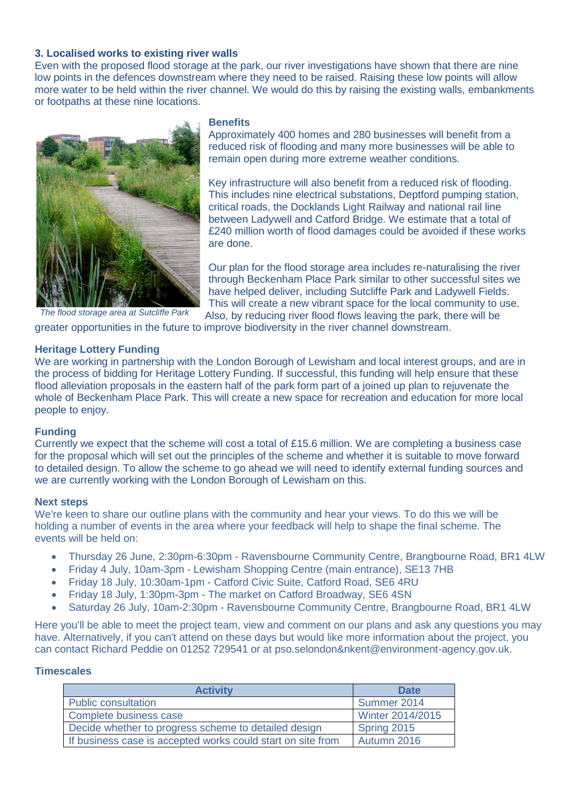### **3. Localised works to existing river walls**

Even with the proposed flood storage at the park, our river investigations have shown that there are nine low points in the defences downstream where they need to be raised. Raising these low points will allow more water to be held within the river channel. We would do this by raising the existing walls, embankments or footpaths at these nine locations.



**Benefits**

Approximately 400 homes and 280 businesses will benefit from a reduced risk of flooding and many more businesses will be able to remain open during more extreme weather conditions.

Key infrastructure will also benefit from a reduced risk of flooding. This includes nine electrical substations, Deptford pumping station, critical roads, the Docklands Light Railway and national rail line between Ladywell and Catford Bridge. We estimate that a total of £240 million worth of flood damages could be avoided if these works are done.

Our plan for the flood storage area includes re-naturalising the river through Beckenham Place Park similar to other successful sites we have helped deliver, including Sutcliffe Park and Ladywell Fields. This will create a new vibrant space for the local community to use. Also, by reducing river flood flows leaving the park, there will be

greater opportunities in the future to improve biodiversity in the river channel downstream.

#### **Heritage Lottery Funding**

We are working in partnership with the London Borough of Lewisham and local interest groups, and are in the process of bidding for Heritage Lottery Funding. If successful, this funding will help ensure that these flood alleviation proposals in the eastern half of the park form part of a joined up plan to rejuvenate the whole of Beckenham Place Park. This will create a new space for recreation and education for more local people to enjoy.

#### **Funding**

Currently we expect that the scheme will cost a total of £15.6 million. We are completing a business case for the proposal which will set out the principles of the scheme and whether it is suitable to move forward to detailed design. To allow the scheme to go ahead we will need to identify external funding sources and we are currently working with the London Borough of Lewisham on this.

#### **Next steps**

We're keen to share our outline plans with the community and hear your views. To do this we will be holding a number of events in the area where your feedback will help to shape the final scheme. The events will be held on:

- Thursday 26 June, 2:30pm-6:30pm Ravensbourne Community Centre, Brangbourne Road, BR1 4LW
- Friday 4 July, 10am-3pm Lewisham Shopping Centre (main entrance), SE13 7HB
- Friday 18 July, 10:30am-1pm Catford Civic Suite, Catford Road, SE6 4RU
- Friday 18 July, 1:30pm-3pm The market on Catford Broadway, SE6 4SN
- Saturday 26 July, 10am-2:30pm Ravensbourne Community Centre, Brangbourne Road, BR1 4LW

Here you'll be able to meet the project team, view and comment on our plans and ask any questions you may have. Alternatively, if you can't attend on these days but would like more information about the project, you can contact Richard Peddie on 01252 729541 or at pso.selondon&nkent@environment-agency.gov.uk.

#### **Timescales**

| <b>Activity</b>                                             | <b>Date</b>             |
|-------------------------------------------------------------|-------------------------|
| <b>Public consultation</b>                                  | Summer 2014             |
| Complete business case                                      | <b>Winter 2014/2015</b> |
| Decide whether to progress scheme to detailed design        | Spring 2015             |
| If business case is accepted works could start on site from | Autumn 2016             |